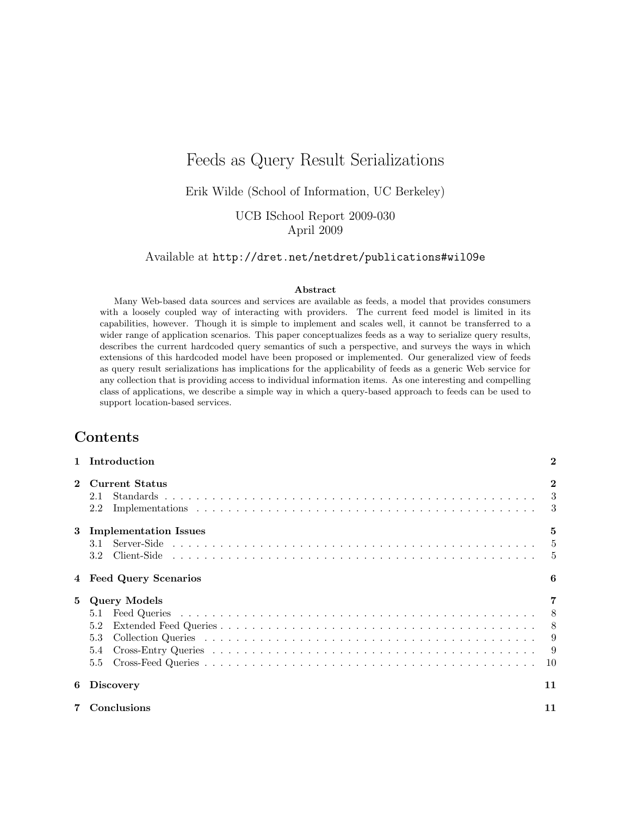# Feeds as Query Result Serializations

Erik Wilde [\(School of Information, UC Berkeley\)](http://www.ischool.berkeley.edu/)

UCB ISchool Report 2009-030 April 2009

Available at <http://dret.net/netdret/publications#wil09e>

#### Abstract

Many Web-based data sources and services are available as feeds, a model that provides consumers with a loosely coupled way of interacting with providers. The current feed model is limited in its capabilities, however. Though it is simple to implement and scales well, it cannot be transferred to a wider range of application scenarios. This paper conceptualizes feeds as a way to serialize query results, describes the current hardcoded query semantics of such a perspective, and surveys the ways in which extensions of this hardcoded model have been proposed or implemented. Our generalized view of feeds as query result serializations has implications for the applicability of feeds as a generic Web service for any collection that is providing access to individual information items. As one interesting and compelling class of applications, we describe a simple way in which a query-based approach to feeds can be used to support location-based services.

## Contents

|              | Introduction                                           | $\bf{2}$                                       |
|--------------|--------------------------------------------------------|------------------------------------------------|
| $\mathbf{2}$ | <b>Current Status</b><br>2.1<br>2.2                    | $\mathbf{2}$<br>$\overline{\phantom{a}3}$<br>3 |
| 3            | <b>Implementation Issues</b><br>3.2                    | 5<br>$-5$<br>$\frac{5}{2}$                     |
|              | <b>Feed Query Scenarios</b>                            | 6                                              |
| 5            | <b>Query Models</b><br>5.1<br>5.2<br>5.3<br>5.4<br>5.5 | - 8<br>- 8<br>9<br>- 9<br>10                   |
| 6            | <b>Discovery</b>                                       | 11                                             |
|              | Conclusions                                            | 11                                             |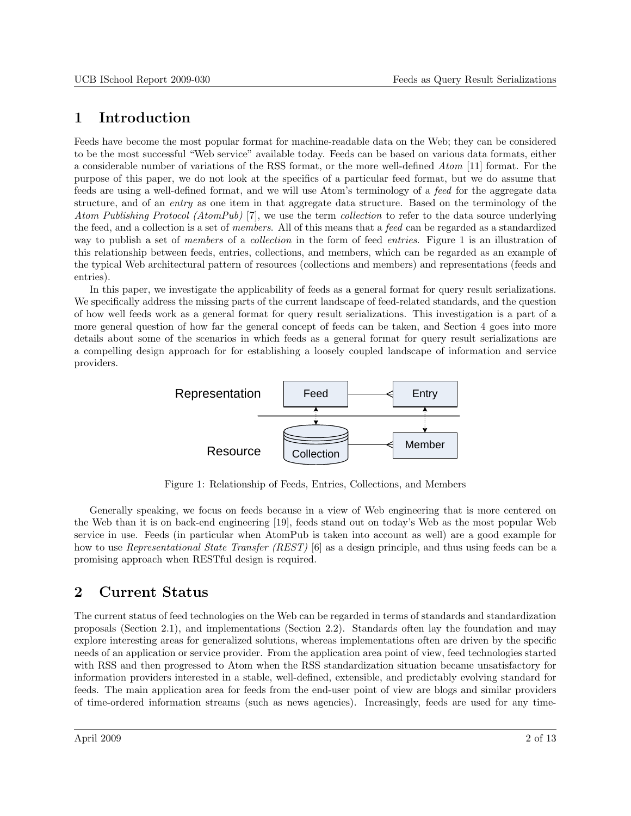# <span id="page-1-0"></span>1 Introduction

Feeds have become the most popular format for machine-readable data on the Web; they can be considered to be the most successful "Web service" available today. Feeds can be based on various data formats, either a considerable number of variations of the RSS format, or the more well-defined Atom [\[11\]](#page-12-0) format. For the purpose of this paper, we do not look at the specifics of a particular feed format, but we do assume that feeds are using a well-defined format, and we will use Atom's terminology of a feed for the aggregate data structure, and of an entry as one item in that aggregate data structure. Based on the terminology of the Atom Publishing Protocol (AtomPub) [\[7\]](#page-11-0), we use the term collection to refer to the data source underlying the feed, and a collection is a set of members. All of this means that a feed can be regarded as a standardized way to publish a set of *members* of a *collection* in the form of feed *entries*. Figure 1 is an illustration of this relationship between feeds, entries, collections, and members, which can be regarded as an example of the typical Web architectural pattern of resources (collections and members) and representations (feeds and entries).

In this paper, we investigate the applicability of feeds as a general format for query result serializations. We specifically address the missing parts of the current landscape of feed-related standards, and the question of how well feeds work as a general format for query result serializations. This investigation is a part of a more general question of how far the general concept of feeds can be taken, and Section [4](#page-5-0) goes into more details about some of the scenarios in which feeds as a general format for query result serializations are a compelling design approach for for establishing a loosely coupled landscape of information and service providers.



Figure 1: Relationship of Feeds, Entries, Collections, and Members

Generally speaking, we focus on feeds because in a view of Web engineering that is more centered on the Web than it is on back-end engineering [\[19\]](#page-12-0), feeds stand out on today's Web as the most popular Web service in use. Feeds (in particular when AtomPub is taken into account as well) are a good example for how to use *Representational State Transfer (REST)* [\[6\]](#page-11-0) as a design principle, and thus using feeds can be a promising approach when RESTful design is required.

# 2 Current Status

The current status of feed technologies on the Web can be regarded in terms of standards and standardization proposals (Section [2.1\)](#page-2-0), and implementations (Section [2.2\)](#page-2-0). Standards often lay the foundation and may explore interesting areas for generalized solutions, whereas implementations often are driven by the specific needs of an application or service provider. From the application area point of view, feed technologies started with RSS and then progressed to Atom when the RSS standardization situation became unsatisfactory for information providers interested in a stable, well-defined, extensible, and predictably evolving standard for feeds. The main application area for feeds from the end-user point of view are blogs and similar providers of time-ordered information streams (such as news agencies). Increasingly, feeds are used for any time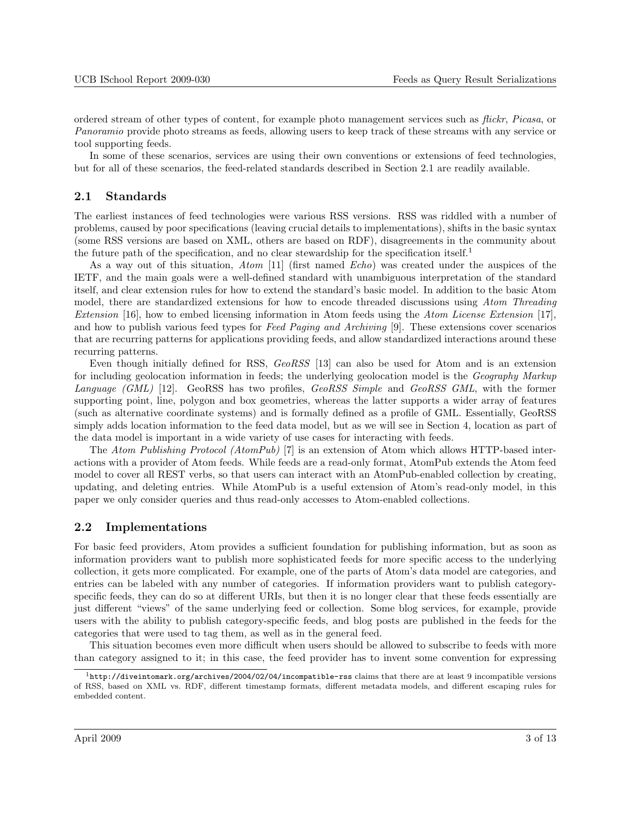<span id="page-2-0"></span>ordered stream of other types of content, for example photo management services such as flickr, Picasa, or Panoramio provide photo streams as feeds, allowing users to keep track of these streams with any service or tool supporting feeds.

In some of these scenarios, services are using their own conventions or extensions of feed technologies, but for all of these scenarios, the feed-related standards described in Section 2.1 are readily available.

#### 2.1 Standards

The earliest instances of feed technologies were various RSS versions. RSS was riddled with a number of problems, caused by poor specifications (leaving crucial details to implementations), shifts in the basic syntax (some RSS versions are based on XML, others are based on RDF), disagreements in the community about the future path of the specification, and no clear stewardship for the specification itself.<sup>1</sup>

As a way out of this situation, Atom [\[11\]](#page-12-0) (first named Echo) was created under the auspices of the IETF, and the main goals were a well-defined standard with unambiguous interpretation of the standard itself, and clear extension rules for how to extend the standard's basic model. In addition to the basic Atom model, there are standardized extensions for how to encode threaded discussions using Atom Threading Extension [\[16\]](#page-12-0), how to embed licensing information in Atom feeds using the Atom License Extension [\[17\]](#page-12-0), and how to publish various feed types for Feed Paging and Archiving [\[9\]](#page-11-0). These extensions cover scenarios that are recurring patterns for applications providing feeds, and allow standardized interactions around these recurring patterns.

Even though initially defined for RSS,  $GeoRSS$  [\[13\]](#page-12-0) can also be used for Atom and is an extension for including geolocation information in feeds; the underlying geolocation model is the Geography Markup Language (GML) [\[12\]](#page-12-0). GeoRSS has two profiles, GeoRSS Simple and GeoRSS GML, with the former supporting point, line, polygon and box geometries, whereas the latter supports a wider array of features (such as alternative coordinate systems) and is formally defined as a profile of GML. Essentially, GeoRSS simply adds location information to the feed data model, but as we will see in Section [4,](#page-5-0) location as part of the data model is important in a wide variety of use cases for interacting with feeds.

The Atom Publishing Protocol (AtomPub) [\[7\]](#page-11-0) is an extension of Atom which allows HTTP-based interactions with a provider of Atom feeds. While feeds are a read-only format, AtomPub extends the Atom feed model to cover all REST verbs, so that users can interact with an AtomPub-enabled collection by creating, updating, and deleting entries. While AtomPub is a useful extension of Atom's read-only model, in this paper we only consider queries and thus read-only accesses to Atom-enabled collections.

#### 2.2 Implementations

For basic feed providers, Atom provides a sufficient foundation for publishing information, but as soon as information providers want to publish more sophisticated feeds for more specific access to the underlying collection, it gets more complicated. For example, one of the parts of Atom's data model are categories, and entries can be labeled with any number of categories. If information providers want to publish categoryspecific feeds, they can do so at different URIs, but then it is no longer clear that these feeds essentially are just different "views" of the same underlying feed or collection. Some blog services, for example, provide users with the ability to publish category-specific feeds, and blog posts are published in the feeds for the categories that were used to tag them, as well as in the general feed.

This situation becomes even more difficult when users should be allowed to subscribe to feeds with more than category assigned to it; in this case, the feed provider has to invent some convention for expressing

 $1$ <http://diveintomark.org/archives/2004/02/04/incompatible-rss> claims that there are at least 9 incompatible versions of RSS, based on XML vs. RDF, different timestamp formats, different metadata models, and different escaping rules for embedded content.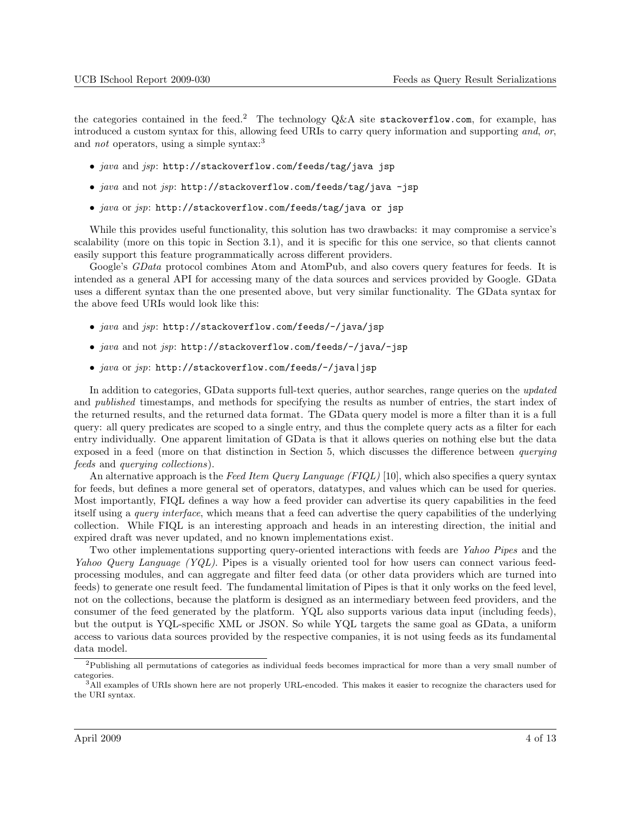the categories contained in the feed.<sup>2</sup> The technology  $Q\&A$  site stackoverflow.com, for example, has introduced a custom syntax for this, allowing feed URIs to carry query information and supporting and, or, and *not* operators, using a simple syntax:<sup>3</sup>

- java and jsp: http://stackoverflow.com/feeds/tag/java jsp
- java and not jsp: http://stackoverflow.com/feeds/tag/java -jsp
- java or jsp: http://stackoverflow.com/feeds/tag/java or jsp

While this provides useful functionality, this solution has two drawbacks: it may compromise a service's scalability (more on this topic in Section [3.1\)](#page-4-0), and it is specific for this one service, so that clients cannot easily support this feature programmatically across different providers.

Google's *GData* protocol combines Atom and AtomPub, and also covers query features for feeds. It is intended as a general API for accessing many of the data sources and services provided by Google. GData uses a different syntax than the one presented above, but very similar functionality. The GData syntax for the above feed URIs would look like this:

- java and jsp: http://stackoverflow.com/feeds/-/java/jsp
- java and not jsp: http://stackoverflow.com/feeds/-/java/-jsp
- java or jsp: http://stackoverflow.com/feeds/-/java|jsp

In addition to categories, GData supports full-text queries, author searches, range queries on the updated and *published* timestamps, and methods for specifying the results as number of entries, the start index of the returned results, and the returned data format. The GData query model is more a filter than it is a full query: all query predicates are scoped to a single entry, and thus the complete query acts as a filter for each entry individually. One apparent limitation of GData is that it allows queries on nothing else but the data exposed in a feed (more on that distinction in Section [5,](#page-6-0) which discusses the difference between querying feeds and querying collections).

An alternative approach is the Feed Item Query Language (FIQL) [\[10\]](#page-11-0), which also specifies a query syntax for feeds, but defines a more general set of operators, datatypes, and values which can be used for queries. Most importantly, FIQL defines a way how a feed provider can advertise its query capabilities in the feed itself using a query interface, which means that a feed can advertise the query capabilities of the underlying collection. While FIQL is an interesting approach and heads in an interesting direction, the initial and expired draft was never updated, and no known implementations exist.

Two other implementations supporting query-oriented interactions with feeds are Yahoo Pipes and the Yahoo Query Language (YQL). Pipes is a visually oriented tool for how users can connect various feedprocessing modules, and can aggregate and filter feed data (or other data providers which are turned into feeds) to generate one result feed. The fundamental limitation of Pipes is that it only works on the feed level, not on the collections, because the platform is designed as an intermediary between feed providers, and the consumer of the feed generated by the platform. YQL also supports various data input (including feeds), but the output is YQL-specific XML or JSON. So while YQL targets the same goal as GData, a uniform access to various data sources provided by the respective companies, it is not using feeds as its fundamental data model.

<sup>2</sup>Publishing all permutations of categories as individual feeds becomes impractical for more than a very small number of categories.

<sup>&</sup>lt;sup>3</sup>All examples of URIs shown here are not properly URL-encoded. This makes it easier to recognize the characters used for the URI syntax.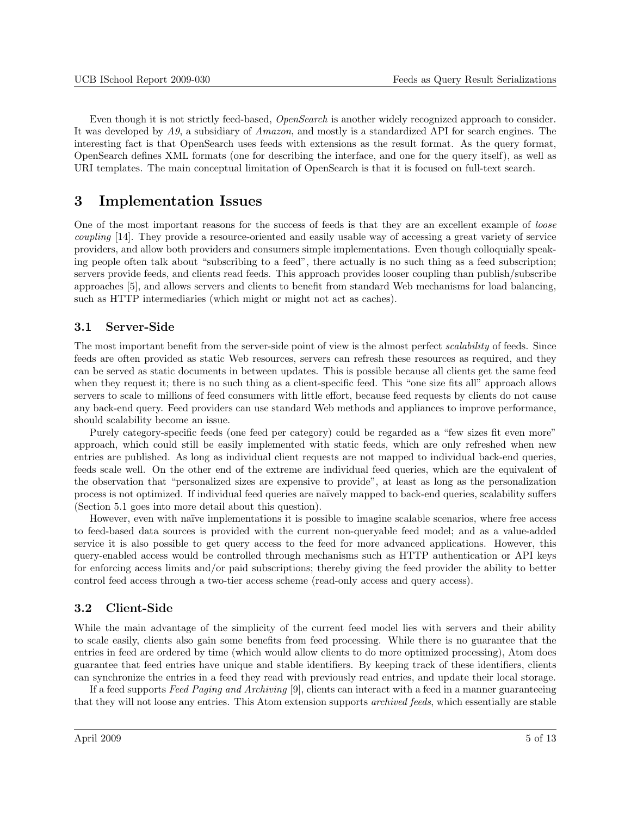<span id="page-4-0"></span>Even though it is not strictly feed-based, *OpenSearch* is another widely recognized approach to consider. It was developed by A9, a subsidiary of Amazon, and mostly is a standardized API for search engines. The interesting fact is that OpenSearch uses feeds with extensions as the result format. As the query format, OpenSearch defines XML formats (one for describing the interface, and one for the query itself), as well as URI templates. The main conceptual limitation of OpenSearch is that it is focused on full-text search.

## 3 Implementation Issues

One of the most important reasons for the success of feeds is that they are an excellent example of loose coupling [\[14\]](#page-12-0). They provide a resource-oriented and easily usable way of accessing a great variety of service providers, and allow both providers and consumers simple implementations. Even though colloquially speaking people often talk about "subscribing to a feed", there actually is no such thing as a feed subscription; servers provide feeds, and clients read feeds. This approach provides looser coupling than publish/subscribe approaches [\[5\]](#page-11-0), and allows servers and clients to benefit from standard Web mechanisms for load balancing, such as HTTP intermediaries (which might or might not act as caches).

### 3.1 Server-Side

The most important benefit from the server-side point of view is the almost perfect scalability of feeds. Since feeds are often provided as static Web resources, servers can refresh these resources as required, and they can be served as static documents in between updates. This is possible because all clients get the same feed when they request it; there is no such thing as a client-specific feed. This "one size fits all" approach allows servers to scale to millions of feed consumers with little effort, because feed requests by clients do not cause any back-end query. Feed providers can use standard Web methods and appliances to improve performance, should scalability become an issue.

Purely category-specific feeds (one feed per category) could be regarded as a "few sizes fit even more" approach, which could still be easily implemented with static feeds, which are only refreshed when new entries are published. As long as individual client requests are not mapped to individual back-end queries, feeds scale well. On the other end of the extreme are individual feed queries, which are the equivalent of the observation that "personalized sizes are expensive to provide", at least as long as the personalization process is not optimized. If individual feed queries are na¨ıvely mapped to back-end queries, scalability suffers (Section [5.1](#page-7-0) goes into more detail about this question).

However, even with naïve implementations it is possible to imagine scalable scenarios, where free access to feed-based data sources is provided with the current non-queryable feed model; and as a value-added service it is also possible to get query access to the feed for more advanced applications. However, this query-enabled access would be controlled through mechanisms such as HTTP authentication or API keys for enforcing access limits and/or paid subscriptions; thereby giving the feed provider the ability to better control feed access through a two-tier access scheme (read-only access and query access).

### 3.2 Client-Side

While the main advantage of the simplicity of the current feed model lies with servers and their ability to scale easily, clients also gain some benefits from feed processing. While there is no guarantee that the entries in feed are ordered by time (which would allow clients to do more optimized processing), Atom does guarantee that feed entries have unique and stable identifiers. By keeping track of these identifiers, clients can synchronize the entries in a feed they read with previously read entries, and update their local storage.

If a feed supports Feed Paging and Archiving [\[9\]](#page-11-0), clients can interact with a feed in a manner guaranteeing that they will not loose any entries. This Atom extension supports *archived feeds*, which essentially are stable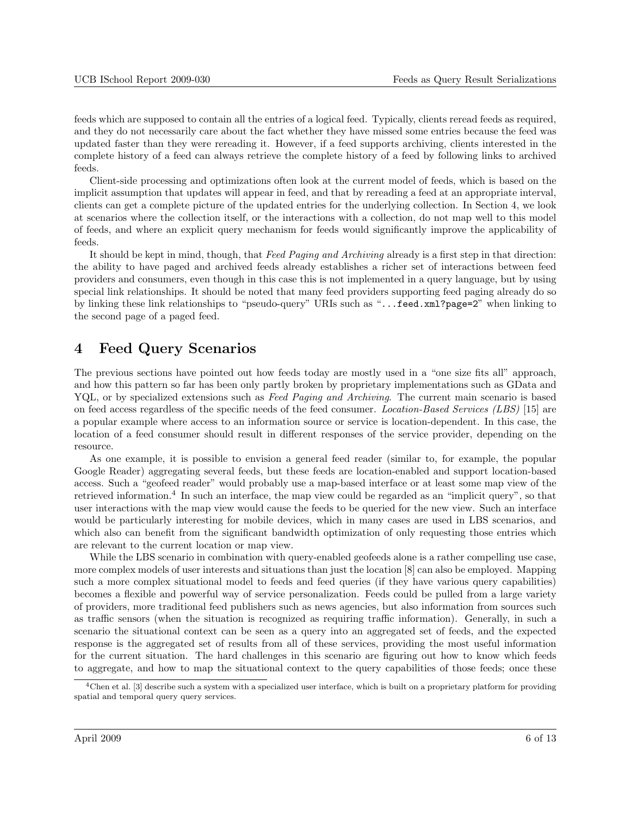<span id="page-5-0"></span>feeds which are supposed to contain all the entries of a logical feed. Typically, clients reread feeds as required, and they do not necessarily care about the fact whether they have missed some entries because the feed was updated faster than they were rereading it. However, if a feed supports archiving, clients interested in the complete history of a feed can always retrieve the complete history of a feed by following links to archived feeds.

Client-side processing and optimizations often look at the current model of feeds, which is based on the implicit assumption that updates will appear in feed, and that by rereading a feed at an appropriate interval, clients can get a complete picture of the updated entries for the underlying collection. In Section 4, we look at scenarios where the collection itself, or the interactions with a collection, do not map well to this model of feeds, and where an explicit query mechanism for feeds would significantly improve the applicability of feeds.

It should be kept in mind, though, that Feed Paging and Archiving already is a first step in that direction: the ability to have paged and archived feeds already establishes a richer set of interactions between feed providers and consumers, even though in this case this is not implemented in a query language, but by using special link relationships. It should be noted that many feed providers supporting feed paging already do so by linking these link relationships to "pseudo-query" URIs such as "...feed.xml?page=2" when linking to the second page of a paged feed.

## 4 Feed Query Scenarios

The previous sections have pointed out how feeds today are mostly used in a "one size fits all" approach, and how this pattern so far has been only partly broken by proprietary implementations such as GData and YQL, or by specialized extensions such as Feed Paging and Archiving. The current main scenario is based on feed access regardless of the specific needs of the feed consumer. Location-Based Services (LBS) [\[15\]](#page-12-0) are a popular example where access to an information source or service is location-dependent. In this case, the location of a feed consumer should result in different responses of the service provider, depending on the resource.

As one example, it is possible to envision a general feed reader (similar to, for example, the popular Google Reader) aggregating several feeds, but these feeds are location-enabled and support location-based access. Such a "geofeed reader" would probably use a map-based interface or at least some map view of the retrieved information.<sup>4</sup> In such an interface, the map view could be regarded as an "implicit query", so that user interactions with the map view would cause the feeds to be queried for the new view. Such an interface would be particularly interesting for mobile devices, which in many cases are used in LBS scenarios, and which also can benefit from the significant bandwidth optimization of only requesting those entries which are relevant to the current location or map view.

While the LBS scenario in combination with query-enabled geofeeds alone is a rather compelling use case, more complex models of user interests and situations than just the location [\[8\]](#page-11-0) can also be employed. Mapping such a more complex situational model to feeds and feed queries (if they have various query capabilities) becomes a flexible and powerful way of service personalization. Feeds could be pulled from a large variety of providers, more traditional feed publishers such as news agencies, but also information from sources such as traffic sensors (when the situation is recognized as requiring traffic information). Generally, in such a scenario the situational context can be seen as a query into an aggregated set of feeds, and the expected response is the aggregated set of results from all of these services, providing the most useful information for the current situation. The hard challenges in this scenario are figuring out how to know which feeds to aggregate, and how to map the situational context to the query capabilities of those feeds; once these

<sup>4</sup>Chen et al. [\[3\]](#page-11-0) describe such a system with a specialized user interface, which is built on a proprietary platform for providing spatial and temporal query query services.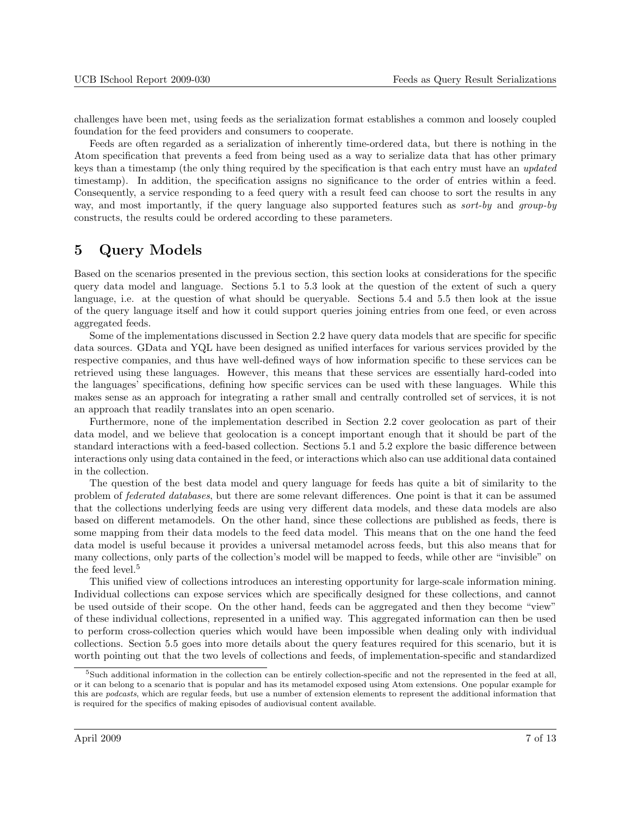<span id="page-6-0"></span>challenges have been met, using feeds as the serialization format establishes a common and loosely coupled foundation for the feed providers and consumers to cooperate.

Feeds are often regarded as a serialization of inherently time-ordered data, but there is nothing in the Atom specification that prevents a feed from being used as a way to serialize data that has other primary keys than a timestamp (the only thing required by the specification is that each entry must have an updated timestamp). In addition, the specification assigns no significance to the order of entries within a feed. Consequently, a service responding to a feed query with a result feed can choose to sort the results in any way, and most importantly, if the query language also supported features such as *sort-by* and *group-by* constructs, the results could be ordered according to these parameters.

## 5 Query Models

Based on the scenarios presented in the previous section, this section looks at considerations for the specific query data model and language. Sections [5.1](#page-7-0) to [5.3](#page-8-0) look at the question of the extent of such a query language, i.e. at the question of what should be queryable. Sections [5.4](#page-8-0) and [5.5](#page-9-0) then look at the issue of the query language itself and how it could support queries joining entries from one feed, or even across aggregated feeds.

Some of the implementations discussed in Section [2.2](#page-2-0) have query data models that are specific for specific data sources. GData and YQL have been designed as unified interfaces for various services provided by the respective companies, and thus have well-defined ways of how information specific to these services can be retrieved using these languages. However, this means that these services are essentially hard-coded into the languages' specifications, defining how specific services can be used with these languages. While this makes sense as an approach for integrating a rather small and centrally controlled set of services, it is not an approach that readily translates into an open scenario.

Furthermore, none of the implementation described in Section [2.2](#page-2-0) cover geolocation as part of their data model, and we believe that geolocation is a concept important enough that it should be part of the standard interactions with a feed-based collection. Sections [5.1](#page-7-0) and [5.2](#page-7-0) explore the basic difference between interactions only using data contained in the feed, or interactions which also can use additional data contained in the collection.

The question of the best data model and query language for feeds has quite a bit of similarity to the problem of federated databases, but there are some relevant differences. One point is that it can be assumed that the collections underlying feeds are using very different data models, and these data models are also based on different metamodels. On the other hand, since these collections are published as feeds, there is some mapping from their data models to the feed data model. This means that on the one hand the feed data model is useful because it provides a universal metamodel across feeds, but this also means that for many collections, only parts of the collection's model will be mapped to feeds, while other are "invisible" on the feed level.<sup>5</sup>

This unified view of collections introduces an interesting opportunity for large-scale information mining. Individual collections can expose services which are specifically designed for these collections, and cannot be used outside of their scope. On the other hand, feeds can be aggregated and then they become "view" of these individual collections, represented in a unified way. This aggregated information can then be used to perform cross-collection queries which would have been impossible when dealing only with individual collections. Section [5.5](#page-9-0) goes into more details about the query features required for this scenario, but it is worth pointing out that the two levels of collections and feeds, of implementation-specific and standardized

<sup>&</sup>lt;sup>5</sup>Such additional information in the collection can be entirely collection-specific and not the represented in the feed at all, or it can belong to a scenario that is popular and has its metamodel exposed using Atom extensions. One popular example for this are podcasts, which are regular feeds, but use a number of extension elements to represent the additional information that is required for the specifics of making episodes of audiovisual content available.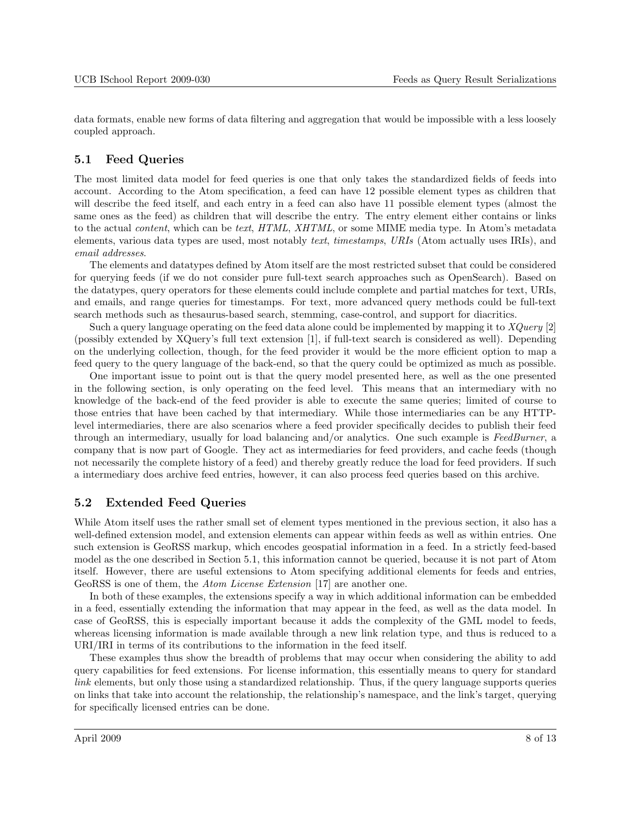<span id="page-7-0"></span>data formats, enable new forms of data filtering and aggregation that would be impossible with a less loosely coupled approach.

#### 5.1 Feed Queries

The most limited data model for feed queries is one that only takes the standardized fields of feeds into account. According to the Atom specification, a feed can have 12 possible element types as children that will describe the feed itself, and each entry in a feed can also have 11 possible element types (almost the same ones as the feed) as children that will describe the entry. The entry element either contains or links to the actual content, which can be text, HTML, XHTML, or some MIME media type. In Atom's metadata elements, various data types are used, most notably text, timestamps, URIs (Atom actually uses IRIs), and email addresses.

The elements and datatypes defined by Atom itself are the most restricted subset that could be considered for querying feeds (if we do not consider pure full-text search approaches such as OpenSearch). Based on the datatypes, query operators for these elements could include complete and partial matches for text, URIs, and emails, and range queries for timestamps. For text, more advanced query methods could be full-text search methods such as thesaurus-based search, stemming, case-control, and support for diacritics.

Such a query language operating on the feed data alone could be implemented by mapping it to XQuery [\[2\]](#page-11-0) (possibly extended by XQuery's full text extension [\[1\]](#page-11-0), if full-text search is considered as well). Depending on the underlying collection, though, for the feed provider it would be the more efficient option to map a feed query to the query language of the back-end, so that the query could be optimized as much as possible.

One important issue to point out is that the query model presented here, as well as the one presented in the following section, is only operating on the feed level. This means that an intermediary with no knowledge of the back-end of the feed provider is able to execute the same queries; limited of course to those entries that have been cached by that intermediary. While those intermediaries can be any HTTPlevel intermediaries, there are also scenarios where a feed provider specifically decides to publish their feed through an intermediary, usually for load balancing and/or analytics. One such example is FeedBurner, a company that is now part of Google. They act as intermediaries for feed providers, and cache feeds (though not necessarily the complete history of a feed) and thereby greatly reduce the load for feed providers. If such a intermediary does archive feed entries, however, it can also process feed queries based on this archive.

#### 5.2 Extended Feed Queries

While Atom itself uses the rather small set of element types mentioned in the previous section, it also has a well-defined extension model, and extension elements can appear within feeds as well as within entries. One such extension is GeoRSS markup, which encodes geospatial information in a feed. In a strictly feed-based model as the one described in Section 5.1, this information cannot be queried, because it is not part of Atom itself. However, there are useful extensions to Atom specifying additional elements for feeds and entries, GeoRSS is one of them, the Atom License Extension [\[17\]](#page-12-0) are another one.

In both of these examples, the extensions specify a way in which additional information can be embedded in a feed, essentially extending the information that may appear in the feed, as well as the data model. In case of GeoRSS, this is especially important because it adds the complexity of the GML model to feeds, whereas licensing information is made available through a new link relation type, and thus is reduced to a URI/IRI in terms of its contributions to the information in the feed itself.

These examples thus show the breadth of problems that may occur when considering the ability to add query capabilities for feed extensions. For license information, this essentially means to query for standard link elements, but only those using a standardized relationship. Thus, if the query language supports queries on links that take into account the relationship, the relationship's namespace, and the link's target, querying for specifically licensed entries can be done.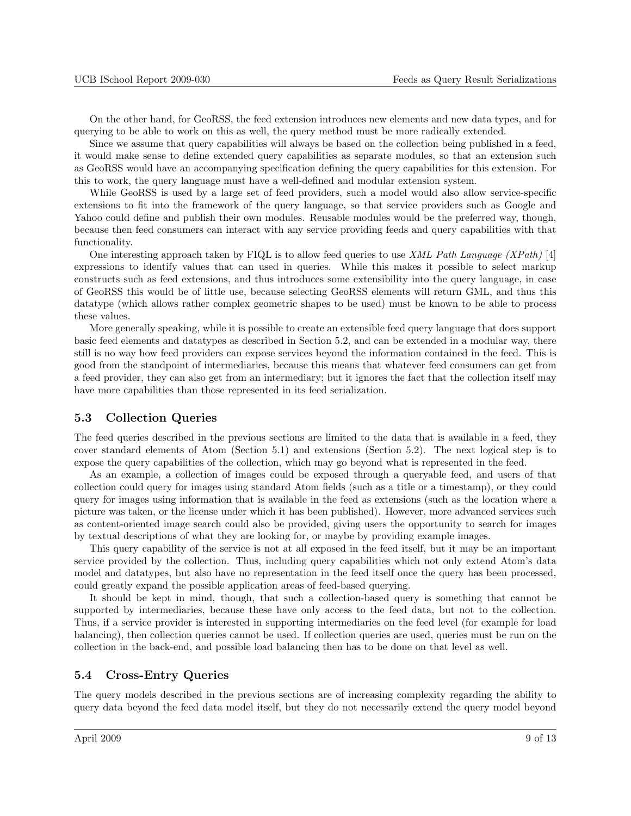<span id="page-8-0"></span>On the other hand, for GeoRSS, the feed extension introduces new elements and new data types, and for querying to be able to work on this as well, the query method must be more radically extended.

Since we assume that query capabilities will always be based on the collection being published in a feed, it would make sense to define extended query capabilities as separate modules, so that an extension such as GeoRSS would have an accompanying specification defining the query capabilities for this extension. For this to work, the query language must have a well-defined and modular extension system.

While GeoRSS is used by a large set of feed providers, such a model would also allow service-specific extensions to fit into the framework of the query language, so that service providers such as Google and Yahoo could define and publish their own modules. Reusable modules would be the preferred way, though, because then feed consumers can interact with any service providing feeds and query capabilities with that functionality.

One interesting approach taken by FIQL is to allow feed queries to use XML Path Language (XPath) [\[4\]](#page-11-0) expressions to identify values that can used in queries. While this makes it possible to select markup constructs such as feed extensions, and thus introduces some extensibility into the query language, in case of GeoRSS this would be of little use, because selecting GeoRSS elements will return GML, and thus this datatype (which allows rather complex geometric shapes to be used) must be known to be able to process these values.

More generally speaking, while it is possible to create an extensible feed query language that does support basic feed elements and datatypes as described in Section [5.2,](#page-7-0) and can be extended in a modular way, there still is no way how feed providers can expose services beyond the information contained in the feed. This is good from the standpoint of intermediaries, because this means that whatever feed consumers can get from a feed provider, they can also get from an intermediary; but it ignores the fact that the collection itself may have more capabilities than those represented in its feed serialization.

#### 5.3 Collection Queries

The feed queries described in the previous sections are limited to the data that is available in a feed, they cover standard elements of Atom (Section [5.1\)](#page-7-0) and extensions (Section [5.2\)](#page-7-0). The next logical step is to expose the query capabilities of the collection, which may go beyond what is represented in the feed.

As an example, a collection of images could be exposed through a queryable feed, and users of that collection could query for images using standard Atom fields (such as a title or a timestamp), or they could query for images using information that is available in the feed as extensions (such as the location where a picture was taken, or the license under which it has been published). However, more advanced services such as content-oriented image search could also be provided, giving users the opportunity to search for images by textual descriptions of what they are looking for, or maybe by providing example images.

This query capability of the service is not at all exposed in the feed itself, but it may be an important service provided by the collection. Thus, including query capabilities which not only extend Atom's data model and datatypes, but also have no representation in the feed itself once the query has been processed, could greatly expand the possible application areas of feed-based querying.

It should be kept in mind, though, that such a collection-based query is something that cannot be supported by intermediaries, because these have only access to the feed data, but not to the collection. Thus, if a service provider is interested in supporting intermediaries on the feed level (for example for load balancing), then collection queries cannot be used. If collection queries are used, queries must be run on the collection in the back-end, and possible load balancing then has to be done on that level as well.

#### 5.4 Cross-Entry Queries

The query models described in the previous sections are of increasing complexity regarding the ability to query data beyond the feed data model itself, but they do not necessarily extend the query model beyond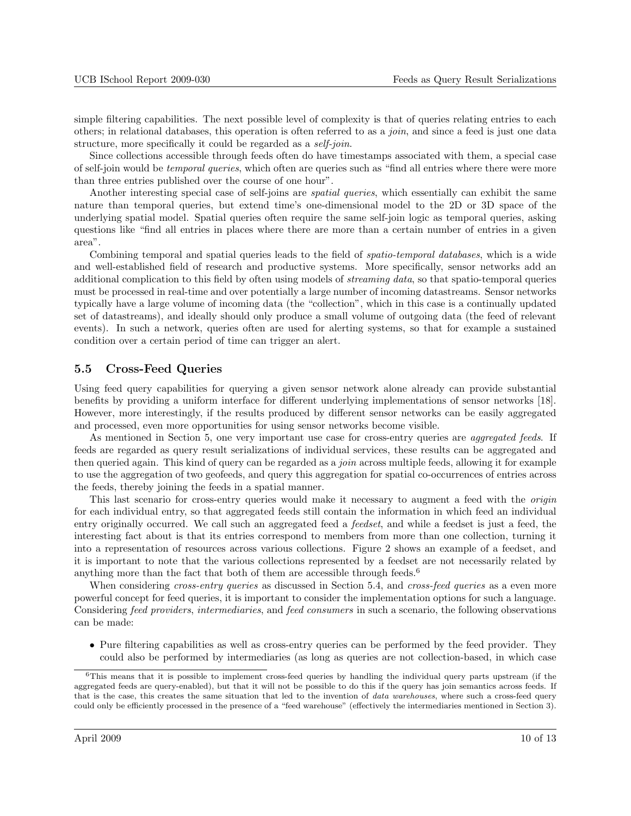<span id="page-9-0"></span>simple filtering capabilities. The next possible level of complexity is that of queries relating entries to each others; in relational databases, this operation is often referred to as a join, and since a feed is just one data structure, more specifically it could be regarded as a *self-join*.

Since collections accessible through feeds often do have timestamps associated with them, a special case of self-join would be temporal queries, which often are queries such as "find all entries where there were more than three entries published over the course of one hour".

Another interesting special case of self-joins are *spatial queries*, which essentially can exhibit the same nature than temporal queries, but extend time's one-dimensional model to the 2D or 3D space of the underlying spatial model. Spatial queries often require the same self-join logic as temporal queries, asking questions like "find all entries in places where there are more than a certain number of entries in a given area".

Combining temporal and spatial queries leads to the field of spatio-temporal databases, which is a wide and well-established field of research and productive systems. More specifically, sensor networks add an additional complication to this field by often using models of *streaming data*, so that spatio-temporal queries must be processed in real-time and over potentially a large number of incoming datastreams. Sensor networks typically have a large volume of incoming data (the "collection", which in this case is a continually updated set of datastreams), and ideally should only produce a small volume of outgoing data (the feed of relevant events). In such a network, queries often are used for alerting systems, so that for example a sustained condition over a certain period of time can trigger an alert.

#### 5.5 Cross-Feed Queries

Using feed query capabilities for querying a given sensor network alone already can provide substantial benefits by providing a uniform interface for different underlying implementations of sensor networks [\[18\]](#page-12-0). However, more interestingly, if the results produced by different sensor networks can be easily aggregated and processed, even more opportunities for using sensor networks become visible.

As mentioned in Section [5,](#page-6-0) one very important use case for cross-entry queries are *aggregated feeds*. If feeds are regarded as query result serializations of individual services, these results can be aggregated and then queried again. This kind of query can be regarded as a *join* across multiple feeds, allowing it for example to use the aggregation of two geofeeds, and query this aggregation for spatial co-occurrences of entries across the feeds, thereby joining the feeds in a spatial manner.

This last scenario for cross-entry queries would make it necessary to augment a feed with the *origin* for each individual entry, so that aggregated feeds still contain the information in which feed an individual entry originally occurred. We call such an aggregated feed a feedset, and while a feedset is just a feed, the interesting fact about is that its entries correspond to members from more than one collection, turning it into a representation of resources across various collections. Figure [2](#page-10-0) shows an example of a feedset, and it is important to note that the various collections represented by a feedset are not necessarily related by anything more than the fact that both of them are accessible through feeds.<sup>6</sup>

When considering cross-entry queries as discussed in Section [5.4,](#page-8-0) and cross-feed queries as a even more powerful concept for feed queries, it is important to consider the implementation options for such a language. Considering feed providers, intermediaries, and feed consumers in such a scenario, the following observations can be made:

• Pure filtering capabilities as well as cross-entry queries can be performed by the feed provider. They could also be performed by intermediaries (as long as queries are not collection-based, in which case

 $6$ This means that it is possible to implement cross-feed queries by handling the individual query parts upstream (if the aggregated feeds are query-enabled), but that it will not be possible to do this if the query has join semantics across feeds. If that is the case, this creates the same situation that led to the invention of *data warehouses*, where such a cross-feed query could only be efficiently processed in the presence of a "feed warehouse" (effectively the intermediaries mentioned in Section [3\)](#page-4-0).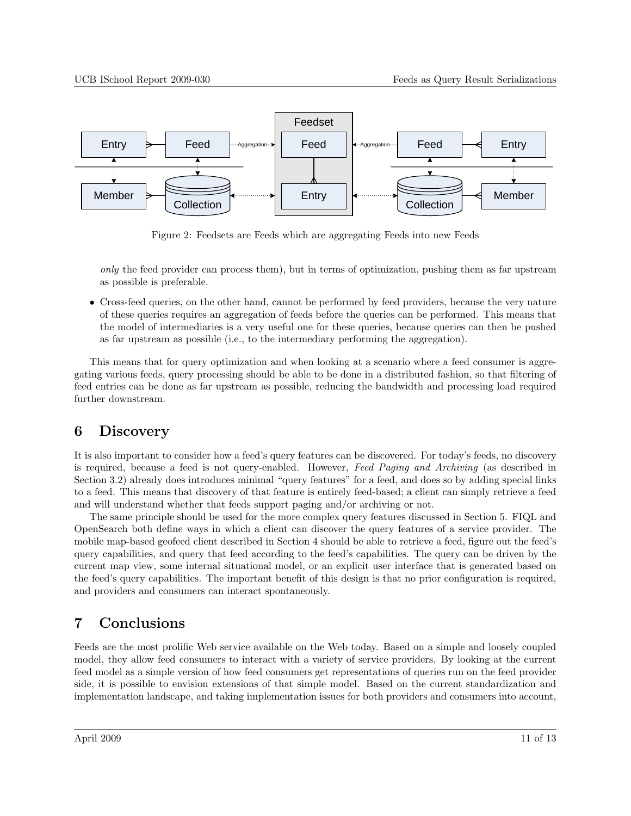<span id="page-10-0"></span>

Figure 2: Feedsets are Feeds which are aggregating Feeds into new Feeds

only the feed provider can process them), but in terms of optimization, pushing them as far upstream as possible is preferable.

• Cross-feed queries, on the other hand, cannot be performed by feed providers, because the very nature of these queries requires an aggregation of feeds before the queries can be performed. This means that the model of intermediaries is a very useful one for these queries, because queries can then be pushed as far upstream as possible (i.e., to the intermediary performing the aggregation).

This means that for query optimization and when looking at a scenario where a feed consumer is aggregating various feeds, query processing should be able to be done in a distributed fashion, so that filtering of feed entries can be done as far upstream as possible, reducing the bandwidth and processing load required further downstream.

## 6 Discovery

It is also important to consider how a feed's query features can be discovered. For today's feeds, no discovery is required, because a feed is not query-enabled. However, Feed Paging and Archiving (as described in Section [3.2\)](#page-4-0) already does introduces minimal "query features" for a feed, and does so by adding special links to a feed. This means that discovery of that feature is entirely feed-based; a client can simply retrieve a feed and will understand whether that feeds support paging and/or archiving or not.

The same principle should be used for the more complex query features discussed in Section [5.](#page-6-0) FIQL and OpenSearch both define ways in which a client can discover the query features of a service provider. The mobile map-based geofeed client described in Section [4](#page-5-0) should be able to retrieve a feed, figure out the feed's query capabilities, and query that feed according to the feed's capabilities. The query can be driven by the current map view, some internal situational model, or an explicit user interface that is generated based on the feed's query capabilities. The important benefit of this design is that no prior configuration is required, and providers and consumers can interact spontaneously.

# 7 Conclusions

Feeds are the most prolific Web service available on the Web today. Based on a simple and loosely coupled model, they allow feed consumers to interact with a variety of service providers. By looking at the current feed model as a simple version of how feed consumers get representations of queries run on the feed provider side, it is possible to envision extensions of that simple model. Based on the current standardization and implementation landscape, and taking implementation issues for both providers and consumers into account,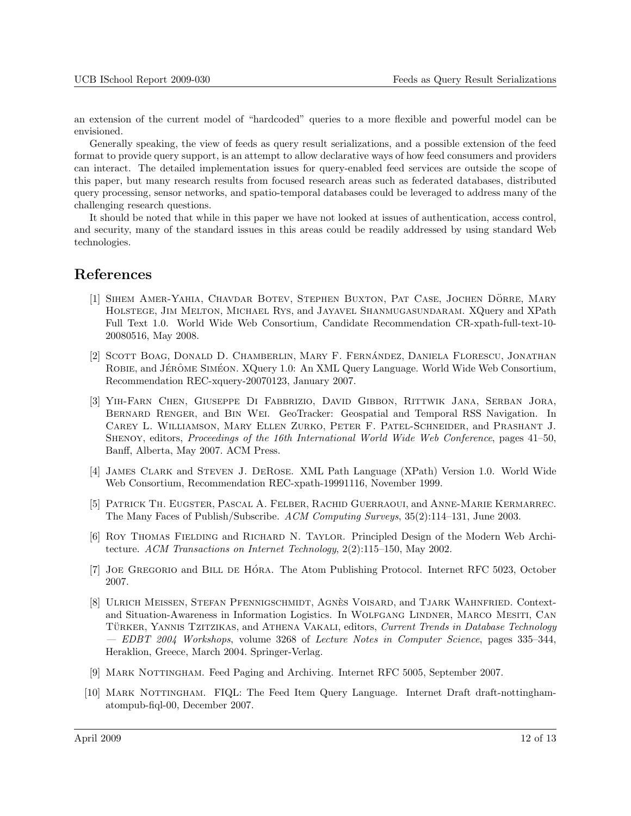<span id="page-11-0"></span>an extension of the current model of "hardcoded" queries to a more flexible and powerful model can be envisioned.

Generally speaking, the view of feeds as query result serializations, and a possible extension of the feed format to provide query support, is an attempt to allow declarative ways of how feed consumers and providers can interact. The detailed implementation issues for query-enabled feed services are outside the scope of this paper, but many research results from focused research areas such as federated databases, distributed query processing, sensor networks, and spatio-temporal databases could be leveraged to address many of the challenging research questions.

It should be noted that while in this paper we have not looked at issues of authentication, access control, and security, many of the standard issues in this areas could be readily addressed by using standard Web technologies.

## References

- [1] SIHEM AMER-YAHIA, CHAVDAR BOTEV, STEPHEN BUXTON, PAT CASE, JOCHEN DÖRRE, MARY Holstege, Jim Melton, Michael Rys, and Jayavel Shanmugasundaram. XQuery and XPath Full Text 1.0. World Wide Web Consortium, Candidate Recommendation CR-xpath-full-text-10- 20080516, May 2008.
- [2] SCOTT BOAG, DONALD D. CHAMBERLIN, MARY F. FERNÁNDEZ, DANIELA FLORESCU, JONATHAN ROBIE, and JÉRÔME SIMÉON. XQuery 1.0: An XML Query Language. World Wide Web Consortium, Recommendation REC-xquery-20070123, January 2007.
- [3] Yih-Farn Chen, Giuseppe Di Fabbrizio, David Gibbon, Rittwik Jana, Serban Jora, Bernard Renger, and Bin Wei. GeoTracker: Geospatial and Temporal RSS Navigation. In Carey L. Williamson, Mary Ellen Zurko, Peter F. Patel-Schneider, and Prashant J. SHENOY, editors, *Proceedings of the 16th International World Wide Web Conference*, pages 41–50, Banff, Alberta, May 2007. ACM Press.
- [4] James Clark and Steven J. DeRose. XML Path Language (XPath) Version 1.0. World Wide Web Consortium, Recommendation REC-xpath-19991116, November 1999.
- [5] Patrick Th. Eugster, Pascal A. Felber, Rachid Guerraoui, and Anne-Marie Kermarrec. The Many Faces of Publish/Subscribe. ACM Computing Surveys, 35(2):114–131, June 2003.
- [6] ROY THOMAS FIELDING and RICHARD N. TAYLOR. Principled Design of the Modern Web Architecture. ACM Transactions on Internet Technology, 2(2):115–150, May 2002.
- [7] JOE GREGORIO and BILL DE HÓRA. The Atom Publishing Protocol. Internet RFC 5023, October 2007.
- [8] ULRICH MEISSEN, STEFAN PFENNIGSCHMIDT, AGNÈS VOISARD, and TJARK WAHNFRIED. Contextand Situation-Awareness in Information Logistics. In Wolfgang Lindner, Marco Mesiti, Can TÜRKER, YANNIS TZITZIKAS, and ATHENA VAKALI, editors, Current Trends in Database Technology — EDBT 2004 Workshops, volume 3268 of Lecture Notes in Computer Science, pages 335–344, Heraklion, Greece, March 2004. Springer-Verlag.
- [9] MARK NOTTINGHAM. Feed Paging and Archiving. Internet RFC 5005, September 2007.
- [10] Mark Nottingham. FIQL: The Feed Item Query Language. Internet Draft draft-nottinghamatompub-fiql-00, December 2007.